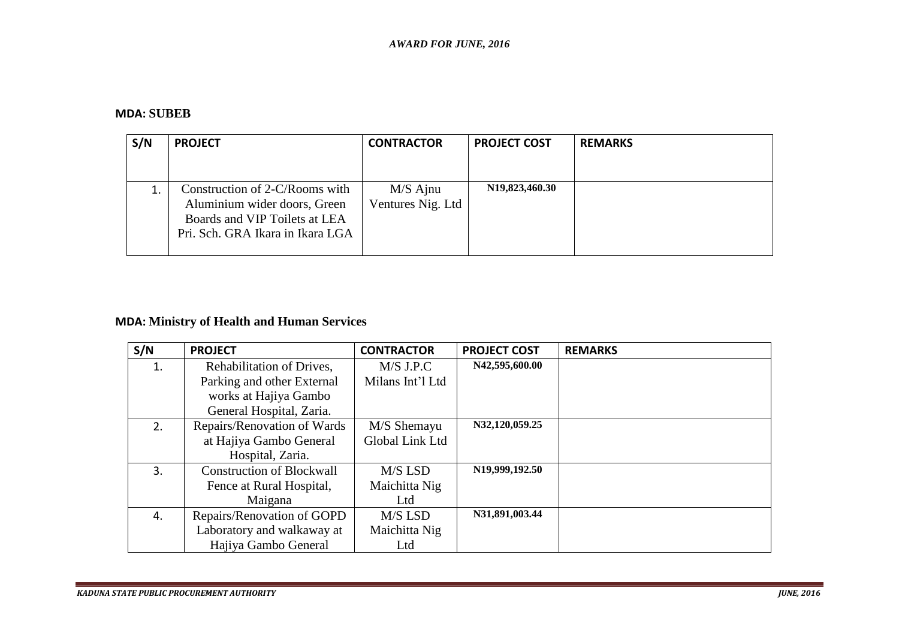### **MDA: SUBEB**

| S/N | <b>PROJECT</b>                                                                                                                      | <b>CONTRACTOR</b>               | <b>PROJECT COST</b>         | <b>REMARKS</b> |
|-----|-------------------------------------------------------------------------------------------------------------------------------------|---------------------------------|-----------------------------|----------------|
|     |                                                                                                                                     |                                 |                             |                |
|     | Construction of 2-C/Rooms with<br>Aluminium wider doors, Green<br>Boards and VIP Toilets at LEA<br>Pri. Sch. GRA Ikara in Ikara LGA | $M/S$ Ajnu<br>Ventures Nig. Ltd | N <sub>19</sub> ,823,460.30 |                |

## **MDA: Ministry of Health and Human Services**

| S/N | <b>PROJECT</b>                   | <b>CONTRACTOR</b> | <b>PROJECT COST</b>         | <b>REMARKS</b> |
|-----|----------------------------------|-------------------|-----------------------------|----------------|
| 1.  | Rehabilitation of Drives,        | $M/S$ J.P.C       | N42,595,600.00              |                |
|     | Parking and other External       | Milans Int'l Ltd  |                             |                |
|     | works at Hajiya Gambo            |                   |                             |                |
|     | General Hospital, Zaria.         |                   |                             |                |
| 2.  | Repairs/Renovation of Wards      | M/S Shemayu       | N32,120,059.25              |                |
|     | at Hajiya Gambo General          | Global Link Ltd   |                             |                |
|     | Hospital, Zaria.                 |                   |                             |                |
| 3.  | <b>Construction of Blockwall</b> | M/S LSD           | N <sub>19</sub> ,999,192.50 |                |
|     | Fence at Rural Hospital,         | Maichitta Nig     |                             |                |
|     | Maigana                          | Ltd               |                             |                |
| 4.  | Repairs/Renovation of GOPD       | M/S LSD           | N31,891,003.44              |                |
|     | Laboratory and walkaway at       | Maichitta Nig     |                             |                |
|     | Hajiya Gambo General             | Ltd               |                             |                |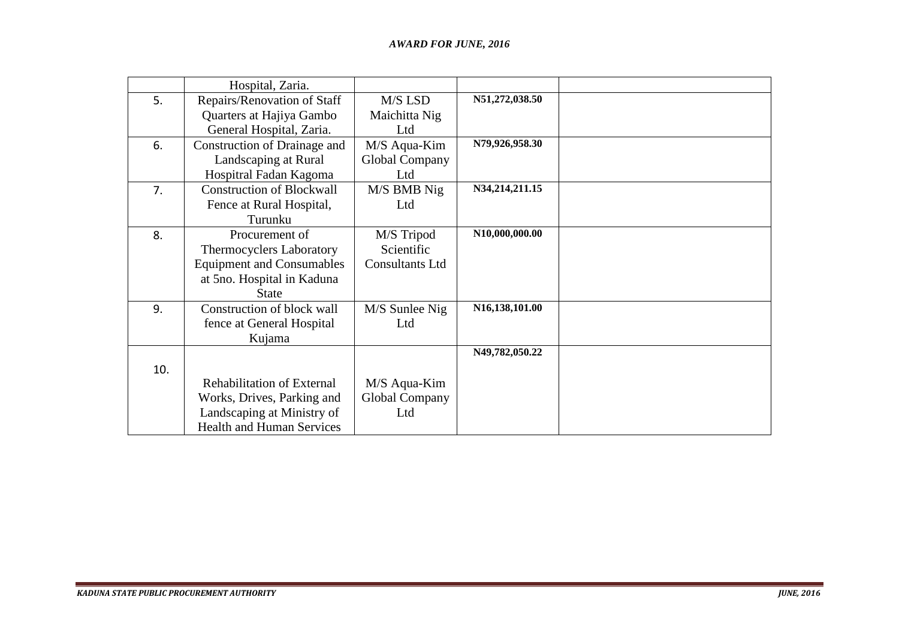|     | Hospital, Zaria.                  |                        |                |  |
|-----|-----------------------------------|------------------------|----------------|--|
| 5.  | Repairs/Renovation of Staff       | M/S LSD                | N51,272,038.50 |  |
|     | Quarters at Hajiya Gambo          | Maichitta Nig          |                |  |
|     | General Hospital, Zaria.          | Ltd                    |                |  |
| 6.  | Construction of Drainage and      | M/S Aqua-Kim           | N79,926,958.30 |  |
|     | Landscaping at Rural              | <b>Global Company</b>  |                |  |
|     | Hospitral Fadan Kagoma            | Ltd                    |                |  |
| 7.  | <b>Construction of Blockwall</b>  | M/S BMB Nig            | N34,214,211.15 |  |
|     | Fence at Rural Hospital,          | Ltd                    |                |  |
|     | Turunku                           |                        |                |  |
| 8.  | Procurement of                    | M/S Tripod             | N10,000,000.00 |  |
|     | <b>Thermocyclers Laboratory</b>   | Scientific             |                |  |
|     | <b>Equipment and Consumables</b>  | <b>Consultants Ltd</b> |                |  |
|     | at 5no. Hospital in Kaduna        |                        |                |  |
|     | <b>State</b>                      |                        |                |  |
| 9.  | Construction of block wall        | M/S Sunlee Nig         | N16,138,101.00 |  |
|     | fence at General Hospital         | Ltd                    |                |  |
|     | Kujama                            |                        |                |  |
|     |                                   |                        | N49,782,050.22 |  |
| 10. |                                   |                        |                |  |
|     | <b>Rehabilitation of External</b> | M/S Aqua-Kim           |                |  |
|     | Works, Drives, Parking and        | <b>Global Company</b>  |                |  |
|     | Landscaping at Ministry of        | Ltd                    |                |  |
|     | <b>Health and Human Services</b>  |                        |                |  |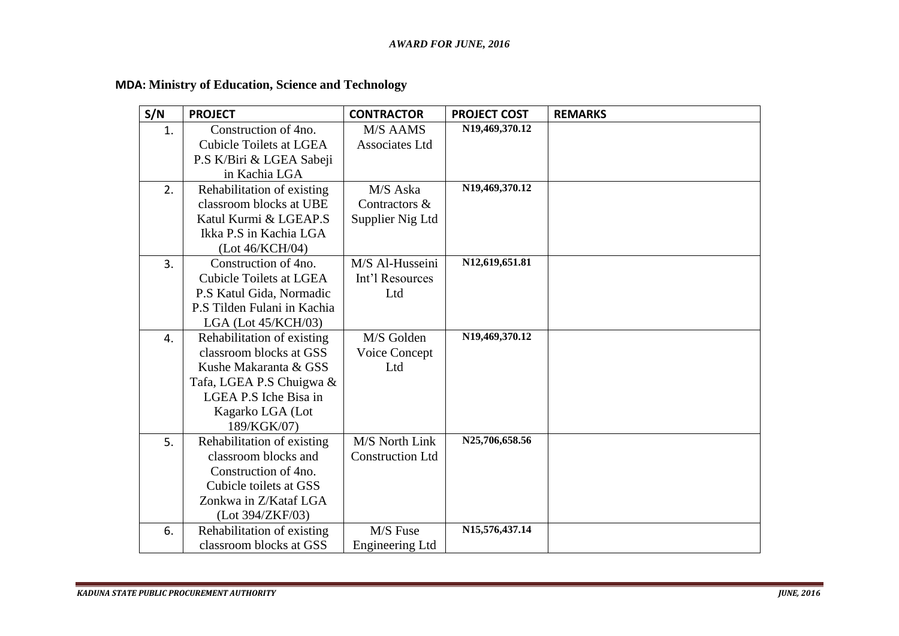## **MDA: Ministry of Education, Science and Technology**

| S/N | <b>PROJECT</b>                 | <b>CONTRACTOR</b>       | <b>PROJECT COST</b>         | <b>REMARKS</b> |
|-----|--------------------------------|-------------------------|-----------------------------|----------------|
| 1.  | Construction of 4no.           | <b>M/S AAMS</b>         | N19,469,370.12              |                |
|     | <b>Cubicle Toilets at LGEA</b> | <b>Associates Ltd</b>   |                             |                |
|     | P.S K/Biri & LGEA Sabeji       |                         |                             |                |
|     | in Kachia LGA                  |                         |                             |                |
| 2.  | Rehabilitation of existing     | M/S Aska                | N19,469,370.12              |                |
|     | classroom blocks at UBE        | Contractors &           |                             |                |
|     | Katul Kurmi & LGEAP.S          | Supplier Nig Ltd        |                             |                |
|     | Ikka P.S in Kachia LGA         |                         |                             |                |
|     | (Lot 46/KCH/04)                |                         |                             |                |
| 3.  | Construction of 4no.           | M/S Al-Husseini         | $N12,619,651.\overline{81}$ |                |
|     | <b>Cubicle Toilets at LGEA</b> | Int'l Resources         |                             |                |
|     | P.S Katul Gida, Normadic       | Ltd                     |                             |                |
|     | P.S Tilden Fulani in Kachia    |                         |                             |                |
|     | LGA (Lot 45/KCH/03)            |                         |                             |                |
| 4.  | Rehabilitation of existing     | M/S Golden              | N19,469,370.12              |                |
|     | classroom blocks at GSS        | Voice Concept           |                             |                |
|     | Kushe Makaranta & GSS          | Ltd                     |                             |                |
|     | Tafa, LGEA P.S Chuigwa &       |                         |                             |                |
|     | LGEA P.S Iche Bisa in          |                         |                             |                |
|     | Kagarko LGA (Lot               |                         |                             |                |
|     | 189/KGK/07)                    |                         |                             |                |
| 5.  | Rehabilitation of existing     | M/S North Link          | N25,706,658.56              |                |
|     | classroom blocks and           | <b>Construction Ltd</b> |                             |                |
|     | Construction of 4no.           |                         |                             |                |
|     | Cubicle toilets at GSS         |                         |                             |                |
|     | Zonkwa in Z/Kataf LGA          |                         |                             |                |
|     | (Lot 394/ZKF/03)               |                         |                             |                |
| 6.  | Rehabilitation of existing     | M/S Fuse                | N15,576,437.14              |                |
|     | classroom blocks at GSS        | Engineering Ltd         |                             |                |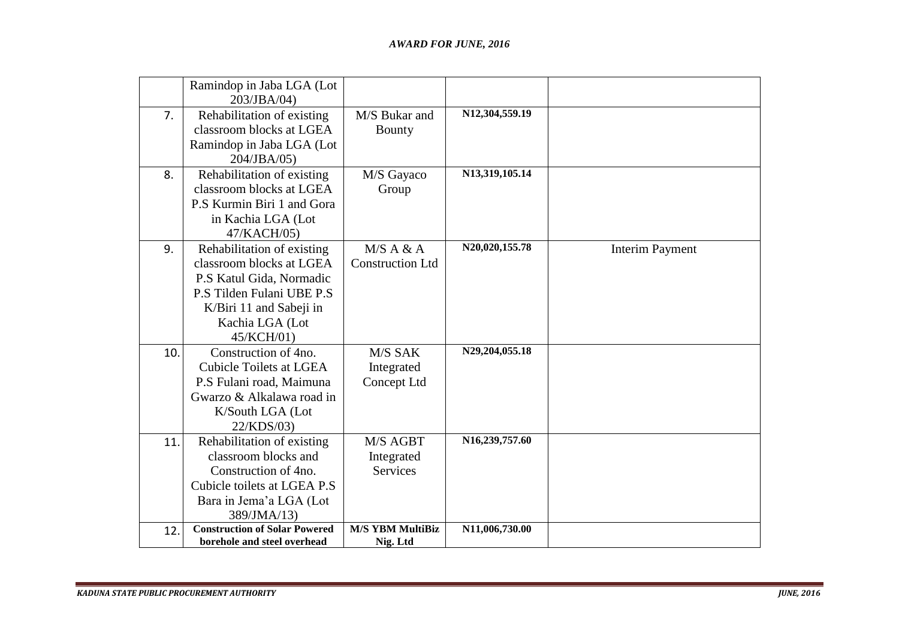|     | Ramindop in Jaba LGA (Lot<br>203/JBA/04)                                                                                                                                    |                                           |                |                        |
|-----|-----------------------------------------------------------------------------------------------------------------------------------------------------------------------------|-------------------------------------------|----------------|------------------------|
| 7.  | Rehabilitation of existing<br>classroom blocks at LGEA<br>Ramindop in Jaba LGA (Lot<br>204/JBA/05)                                                                          | M/S Bukar and<br><b>Bounty</b>            | N12,304,559.19 |                        |
| 8.  | Rehabilitation of existing<br>classroom blocks at LGEA<br>P.S Kurmin Biri 1 and Gora<br>in Kachia LGA (Lot<br>47/KACH/05)                                                   | M/S Gayaco<br>Group                       | N13,319,105.14 |                        |
| 9.  | Rehabilitation of existing<br>classroom blocks at LGEA<br>P.S Katul Gida, Normadic<br>P.S Tilden Fulani UBE P.S<br>K/Biri 11 and Sabeji in<br>Kachia LGA (Lot<br>45/KCH/01) | M/S A & A<br><b>Construction Ltd</b>      | N20,020,155.78 | <b>Interim Payment</b> |
| 10. | Construction of 4no.<br>Cubicle Toilets at LGEA<br>P.S Fulani road, Maimuna<br>Gwarzo & Alkalawa road in<br>K/South LGA (Lot<br>22/KDS/03)                                  | M/S SAK<br>Integrated<br>Concept Ltd      | N29,204,055.18 |                        |
| 11. | Rehabilitation of existing<br>classroom blocks and<br>Construction of 4no.<br>Cubicle toilets at LGEA P.S<br>Bara in Jema'a LGA (Lot<br>389/JMA/13)                         | M/S AGBT<br>Integrated<br><b>Services</b> | N16,239,757.60 |                        |
| 12. | <b>Construction of Solar Powered</b><br>borehole and steel overhead                                                                                                         | <b>M/S YBM MultiBiz</b><br>Nig. Ltd       | N11,006,730.00 |                        |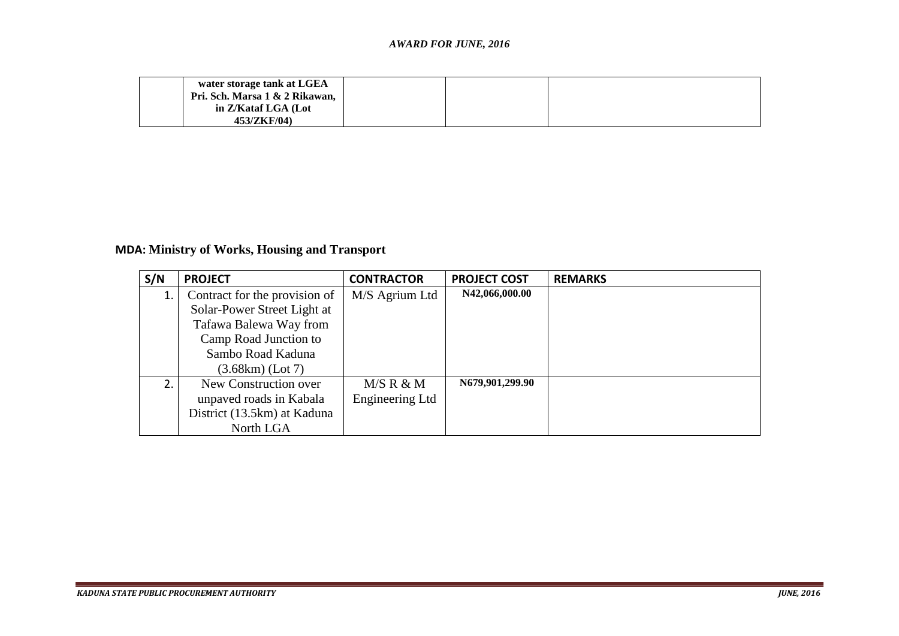#### *AWARD FOR JUNE, 2016*

| water storage tank at LGEA     |  |  |
|--------------------------------|--|--|
| Pri. Sch. Marsa 1 & 2 Rikawan, |  |  |
| in Z/Kataf LGA (Lot            |  |  |
| 453/ZKF/04)                    |  |  |

# **MDA: Ministry of Works, Housing and Transport**

| S/N | <b>PROJECT</b>                | <b>CONTRACTOR</b> | <b>PROJECT COST</b> | <b>REMARKS</b> |
|-----|-------------------------------|-------------------|---------------------|----------------|
|     | Contract for the provision of | M/S Agrium Ltd    | N42,066,000.00      |                |
|     | Solar-Power Street Light at   |                   |                     |                |
|     | Tafawa Balewa Way from        |                   |                     |                |
|     | Camp Road Junction to         |                   |                     |                |
|     | Sambo Road Kaduna             |                   |                     |                |
|     | $(3.68km)$ (Lot 7)            |                   |                     |                |
|     | New Construction over         | M/S R & M         | N679,901,299.90     |                |
|     | unpaved roads in Kabala       | Engineering Ltd   |                     |                |
|     | District (13.5km) at Kaduna   |                   |                     |                |
|     | North LGA                     |                   |                     |                |